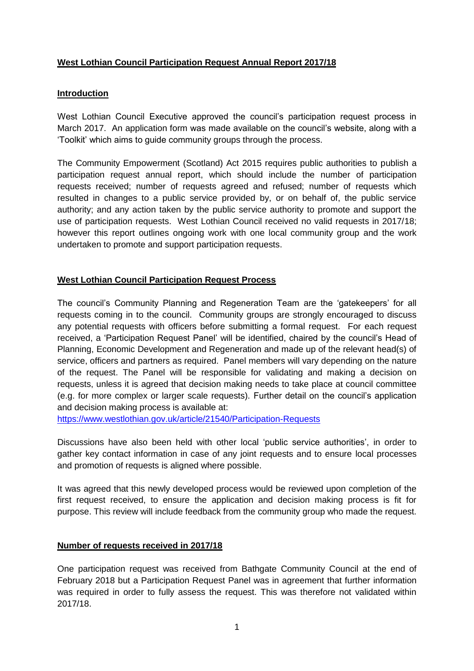# **West Lothian Council Participation Request Annual Report 2017/18**

#### **Introduction**

West Lothian Council Executive approved the council's participation request process in March 2017. An application form was made available on the council's website, along with a 'Toolkit' which aims to guide community groups through the process.

The Community Empowerment (Scotland) Act 2015 requires public authorities to publish a participation request annual report, which should include the number of participation requests received; number of requests agreed and refused; number of requests which resulted in changes to a public service provided by, or on behalf of, the public service authority; and any action taken by the public service authority to promote and support the use of participation requests. West Lothian Council received no valid requests in 2017/18; however this report outlines ongoing work with one local community group and the work undertaken to promote and support participation requests.

#### **West Lothian Council Participation Request Process**

The council's Community Planning and Regeneration Team are the 'gatekeepers' for all requests coming in to the council. Community groups are strongly encouraged to discuss any potential requests with officers before submitting a formal request. For each request received, a 'Participation Request Panel' will be identified, chaired by the council's Head of Planning, Economic Development and Regeneration and made up of the relevant head(s) of service, officers and partners as required. Panel members will vary depending on the nature of the request. The Panel will be responsible for validating and making a decision on requests, unless it is agreed that decision making needs to take place at council committee (e.g. for more complex or larger scale requests). Further detail on the council's application and decision making process is available at:

<https://www.westlothian.gov.uk/article/21540/Participation-Requests>

Discussions have also been held with other local 'public service authorities', in order to gather key contact information in case of any joint requests and to ensure local processes and promotion of requests is aligned where possible.

It was agreed that this newly developed process would be reviewed upon completion of the first request received, to ensure the application and decision making process is fit for purpose. This review will include feedback from the community group who made the request.

#### **Number of requests received in 2017/18**

One participation request was received from Bathgate Community Council at the end of February 2018 but a Participation Request Panel was in agreement that further information was required in order to fully assess the request. This was therefore not validated within 2017/18.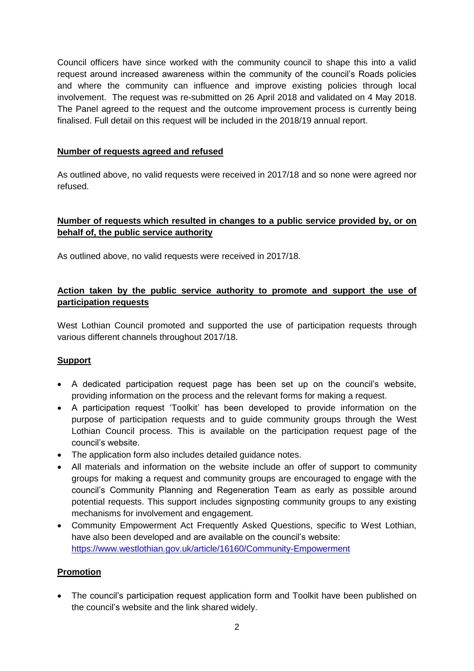Council officers have since worked with the community council to shape this into a valid request around increased awareness within the community of the council's Roads policies and where the community can influence and improve existing policies through local involvement. The request was re-submitted on 26 April 2018 and validated on 4 May 2018. The Panel agreed to the request and the outcome improvement process is currently being finalised. Full detail on this request will be included in the 2018/19 annual report.

#### **Number of requests agreed and refused**

As outlined above, no valid requests were received in 2017/18 and so none were agreed nor refused.

### **Number of requests which resulted in changes to a public service provided by, or on behalf of, the public service authority**

As outlined above, no valid requests were received in 2017/18.

### **Action taken by the public service authority to promote and support the use of participation requests**

West Lothian Council promoted and supported the use of participation requests through various different channels throughout 2017/18.

# **Support**

- A dedicated participation request page has been set up on the council's website, providing information on the process and the relevant forms for making a request.
- A participation request 'Toolkit' has been developed to provide information on the purpose of participation requests and to guide community groups through the West Lothian Council process. This is available on the participation request page of the council's website.
- The application form also includes detailed guidance notes.
- All materials and information on the website include an offer of support to community groups for making a request and community groups are encouraged to engage with the council's Community Planning and Regeneration Team as early as possible around potential requests. This support includes signposting community groups to any existing mechanisms for involvement and engagement.
- Community Empowerment Act Frequently Asked Questions, specific to West Lothian, have also been developed and are available on the council's website: <https://www.westlothian.gov.uk/article/16160/Community-Empowerment>

# **Promotion**

• The council's participation request application form and Toolkit have been published on the council's website and the link shared widely.